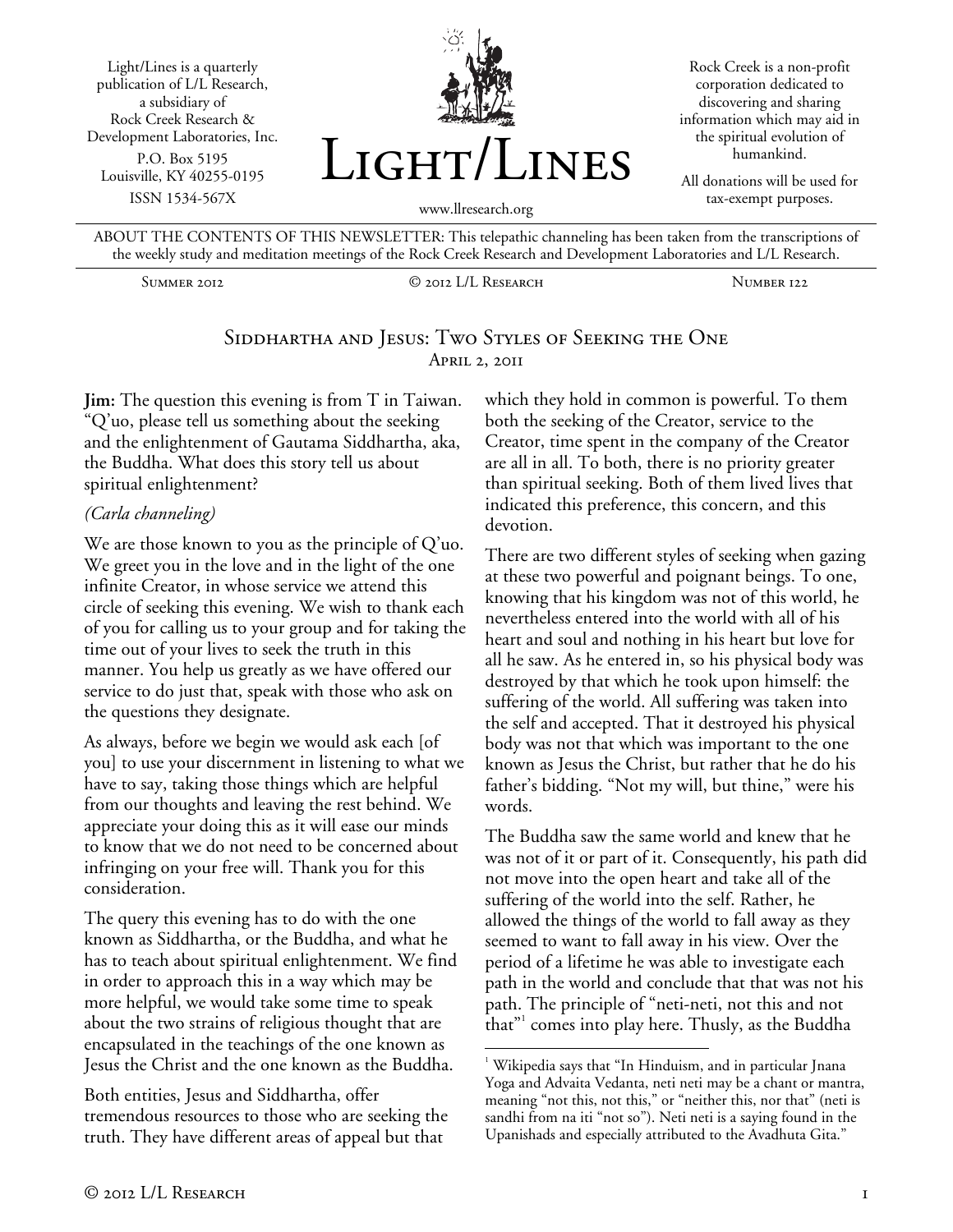Light/Lines is a quarterly publication of L/L Research, a subsidiary of Rock Creek Research & Development Laboratories, Inc. P.O. Box 5195 Louisville, KY 40255-0195 ISSN 1534-567X



Rock Creek is a non-profit corporation dedicated to discovering and sharing information which may aid in the spiritual evolution of humankind.

All donations will be used for tax-exempt purposes.

ABOUT THE CONTENTS OF THIS NEWSLETTER: This telepathic channeling has been taken from the transcriptions of the weekly study and meditation meetings of the Rock Creek Research and Development Laboratories and L/L Research.

Summer 2012 © 2012 L/L Research Number 122

## SIDDHARTHA AND JESUS: TWO STYLES OF SEEKING THE ONE April 2, 2011

**Jim:** The question this evening is from T in Taiwan. "Q'uo, please tell us something about the seeking and the enlightenment of Gautama Siddhartha, aka, the Buddha. What does this story tell us about spiritual enlightenment?

#### *(Carla channeling)*

We are those known to you as the principle of Q'uo. We greet you in the love and in the light of the one infinite Creator, in whose service we attend this circle of seeking this evening. We wish to thank each of you for calling us to your group and for taking the time out of your lives to seek the truth in this manner. You help us greatly as we have offered our service to do just that, speak with those who ask on the questions they designate.

As always, before we begin we would ask each [of you] to use your discernment in listening to what we have to say, taking those things which are helpful from our thoughts and leaving the rest behind. We appreciate your doing this as it will ease our minds to know that we do not need to be concerned about infringing on your free will. Thank you for this consideration.

The query this evening has to do with the one known as Siddhartha, or the Buddha, and what he has to teach about spiritual enlightenment. We find in order to approach this in a way which may be more helpful, we would take some time to speak about the two strains of religious thought that are encapsulated in the teachings of the one known as Jesus the Christ and the one known as the Buddha.

Both entities, Jesus and Siddhartha, offer tremendous resources to those who are seeking the truth. They have different areas of appeal but that

which they hold in common is powerful. To them both the seeking of the Creator, service to the Creator, time spent in the company of the Creator are all in all. To both, there is no priority greater than spiritual seeking. Both of them lived lives that indicated this preference, this concern, and this devotion.

There are two different styles of seeking when gazing at these two powerful and poignant beings. To one, knowing that his kingdom was not of this world, he nevertheless entered into the world with all of his heart and soul and nothing in his heart but love for all he saw. As he entered in, so his physical body was destroyed by that which he took upon himself: the suffering of the world. All suffering was taken into the self and accepted. That it destroyed his physical body was not that which was important to the one known as Jesus the Christ, but rather that he do his father's bidding. "Not my will, but thine," were his words.

The Buddha saw the same world and knew that he was not of it or part of it. Consequently, his path did not move into the open heart and take all of the suffering of the world into the self. Rather, he allowed the things of the world to fall away as they seemed to want to fall away in his view. Over the period of a lifetime he was able to investigate each path in the world and conclude that that was not his path. The principle of "neti-neti, not this and not that"<sup>1</sup> comes into play here. Thusly, as the Buddha

 $\overline{a}$ <sup>1</sup> Wikipedia says that "In Hinduism, and in particular Jnana Yoga and Advaita Vedanta, neti neti may be a chant or mantra, meaning "not this, not this," or "neither this, nor that" (neti is sandhi from na iti "not so"). Neti neti is a saying found in the Upanishads and especially attributed to the Avadhuta Gita."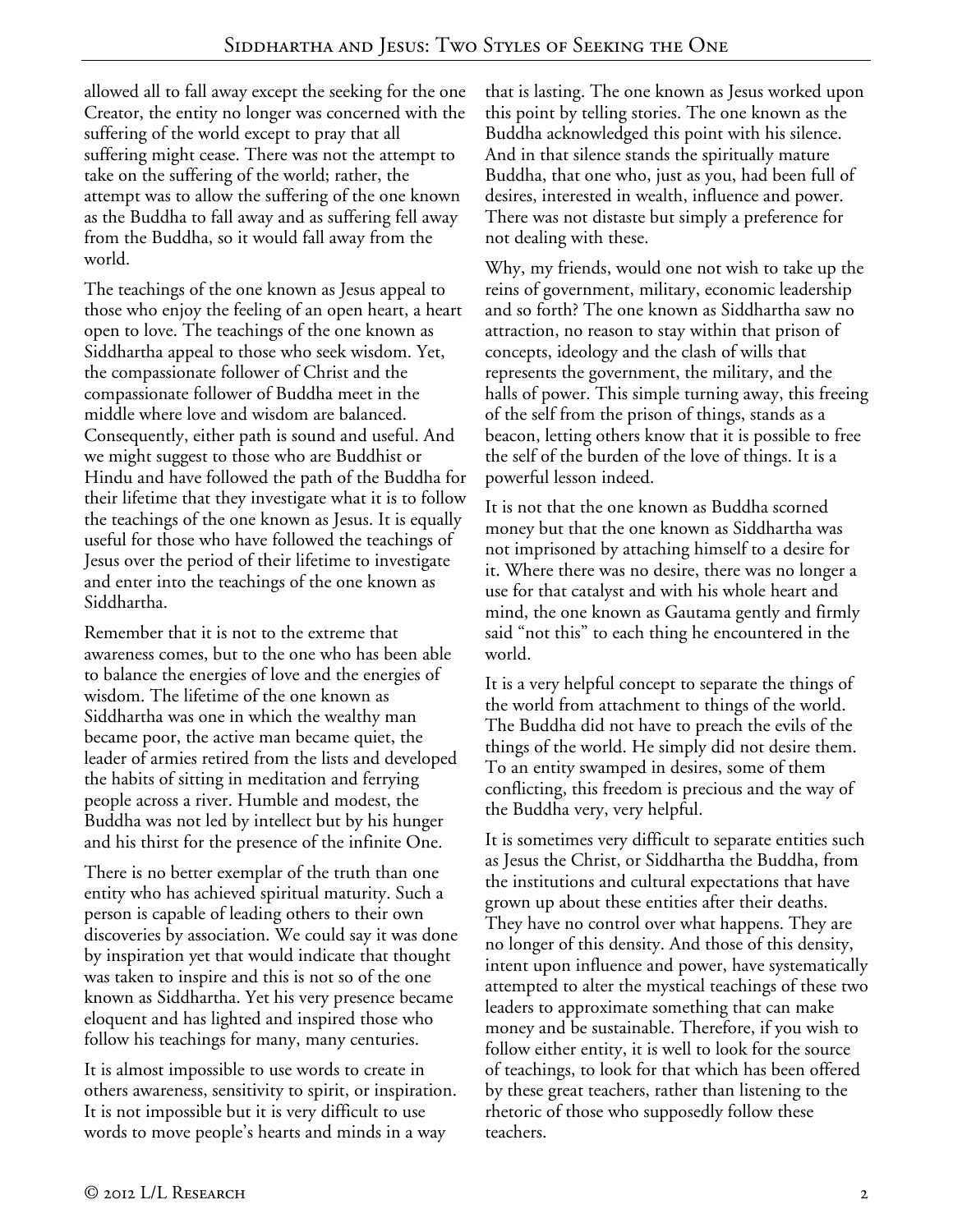allowed all to fall away except the seeking for the one Creator, the entity no longer was concerned with the suffering of the world except to pray that all suffering might cease. There was not the attempt to take on the suffering of the world; rather, the attempt was to allow the suffering of the one known as the Buddha to fall away and as suffering fell away from the Buddha, so it would fall away from the world.

The teachings of the one known as Jesus appeal to those who enjoy the feeling of an open heart, a heart open to love. The teachings of the one known as Siddhartha appeal to those who seek wisdom. Yet, the compassionate follower of Christ and the compassionate follower of Buddha meet in the middle where love and wisdom are balanced. Consequently, either path is sound and useful. And we might suggest to those who are Buddhist or Hindu and have followed the path of the Buddha for their lifetime that they investigate what it is to follow the teachings of the one known as Jesus. It is equally useful for those who have followed the teachings of Jesus over the period of their lifetime to investigate and enter into the teachings of the one known as Siddhartha.

Remember that it is not to the extreme that awareness comes, but to the one who has been able to balance the energies of love and the energies of wisdom. The lifetime of the one known as Siddhartha was one in which the wealthy man became poor, the active man became quiet, the leader of armies retired from the lists and developed the habits of sitting in meditation and ferrying people across a river. Humble and modest, the Buddha was not led by intellect but by his hunger and his thirst for the presence of the infinite One.

There is no better exemplar of the truth than one entity who has achieved spiritual maturity. Such a person is capable of leading others to their own discoveries by association. We could say it was done by inspiration yet that would indicate that thought was taken to inspire and this is not so of the one known as Siddhartha. Yet his very presence became eloquent and has lighted and inspired those who follow his teachings for many, many centuries.

It is almost impossible to use words to create in others awareness, sensitivity to spirit, or inspiration. It is not impossible but it is very difficult to use words to move people's hearts and minds in a way

that is lasting. The one known as Jesus worked upon this point by telling stories. The one known as the Buddha acknowledged this point with his silence. And in that silence stands the spiritually mature Buddha, that one who, just as you, had been full of desires, interested in wealth, influence and power. There was not distaste but simply a preference for not dealing with these.

Why, my friends, would one not wish to take up the reins of government, military, economic leadership and so forth? The one known as Siddhartha saw no attraction, no reason to stay within that prison of concepts, ideology and the clash of wills that represents the government, the military, and the halls of power. This simple turning away, this freeing of the self from the prison of things, stands as a beacon, letting others know that it is possible to free the self of the burden of the love of things. It is a powerful lesson indeed.

It is not that the one known as Buddha scorned money but that the one known as Siddhartha was not imprisoned by attaching himself to a desire for it. Where there was no desire, there was no longer a use for that catalyst and with his whole heart and mind, the one known as Gautama gently and firmly said "not this" to each thing he encountered in the world.

It is a very helpful concept to separate the things of the world from attachment to things of the world. The Buddha did not have to preach the evils of the things of the world. He simply did not desire them. To an entity swamped in desires, some of them conflicting, this freedom is precious and the way of the Buddha very, very helpful.

It is sometimes very difficult to separate entities such as Jesus the Christ, or Siddhartha the Buddha, from the institutions and cultural expectations that have grown up about these entities after their deaths. They have no control over what happens. They are no longer of this density. And those of this density, intent upon influence and power, have systematically attempted to alter the mystical teachings of these two leaders to approximate something that can make money and be sustainable. Therefore, if you wish to follow either entity, it is well to look for the source of teachings, to look for that which has been offered by these great teachers, rather than listening to the rhetoric of those who supposedly follow these teachers.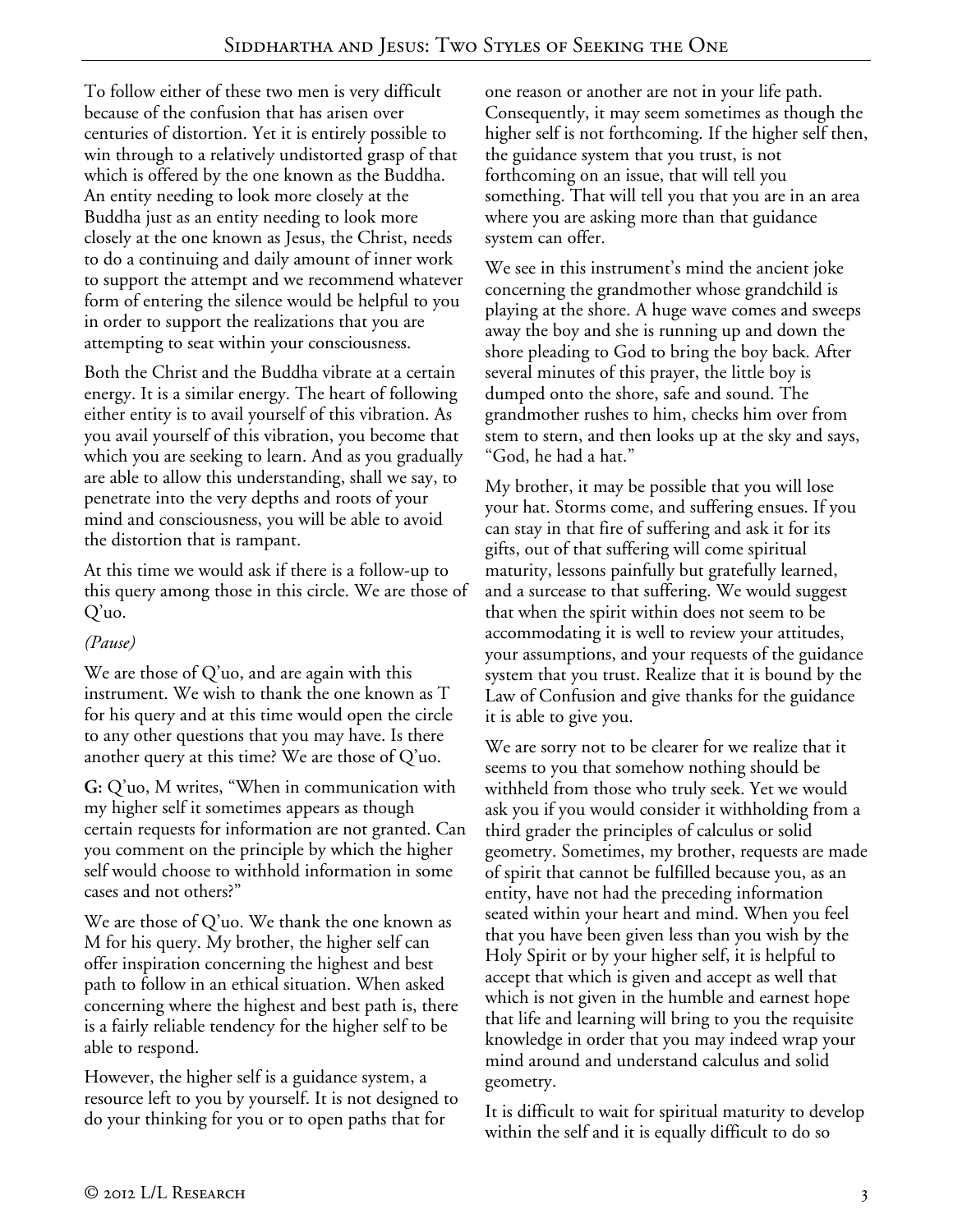To follow either of these two men is very difficult because of the confusion that has arisen over centuries of distortion. Yet it is entirely possible to win through to a relatively undistorted grasp of that which is offered by the one known as the Buddha. An entity needing to look more closely at the Buddha just as an entity needing to look more closely at the one known as Jesus, the Christ, needs to do a continuing and daily amount of inner work to support the attempt and we recommend whatever form of entering the silence would be helpful to you in order to support the realizations that you are attempting to seat within your consciousness.

Both the Christ and the Buddha vibrate at a certain energy. It is a similar energy. The heart of following either entity is to avail yourself of this vibration. As you avail yourself of this vibration, you become that which you are seeking to learn. And as you gradually are able to allow this understanding, shall we say, to penetrate into the very depths and roots of your mind and consciousness, you will be able to avoid the distortion that is rampant.

At this time we would ask if there is a follow-up to this query among those in this circle. We are those of Q'uo.

## *(Pause)*

We are those of Q'uo, and are again with this instrument. We wish to thank the one known as T for his query and at this time would open the circle to any other questions that you may have. Is there another query at this time? We are those of Q'uo.

**G:** Q'uo, M writes, "When in communication with my higher self it sometimes appears as though certain requests for information are not granted. Can you comment on the principle by which the higher self would choose to withhold information in some cases and not others?"

We are those of Q'uo. We thank the one known as M for his query. My brother, the higher self can offer inspiration concerning the highest and best path to follow in an ethical situation. When asked concerning where the highest and best path is, there is a fairly reliable tendency for the higher self to be able to respond.

However, the higher self is a guidance system, a resource left to you by yourself. It is not designed to do your thinking for you or to open paths that for

one reason or another are not in your life path. Consequently, it may seem sometimes as though the higher self is not forthcoming. If the higher self then, the guidance system that you trust, is not forthcoming on an issue, that will tell you something. That will tell you that you are in an area where you are asking more than that guidance system can offer.

We see in this instrument's mind the ancient joke concerning the grandmother whose grandchild is playing at the shore. A huge wave comes and sweeps away the boy and she is running up and down the shore pleading to God to bring the boy back. After several minutes of this prayer, the little boy is dumped onto the shore, safe and sound. The grandmother rushes to him, checks him over from stem to stern, and then looks up at the sky and says, "God, he had a hat."

My brother, it may be possible that you will lose your hat. Storms come, and suffering ensues. If you can stay in that fire of suffering and ask it for its gifts, out of that suffering will come spiritual maturity, lessons painfully but gratefully learned, and a surcease to that suffering. We would suggest that when the spirit within does not seem to be accommodating it is well to review your attitudes, your assumptions, and your requests of the guidance system that you trust. Realize that it is bound by the Law of Confusion and give thanks for the guidance it is able to give you.

We are sorry not to be clearer for we realize that it seems to you that somehow nothing should be withheld from those who truly seek. Yet we would ask you if you would consider it withholding from a third grader the principles of calculus or solid geometry. Sometimes, my brother, requests are made of spirit that cannot be fulfilled because you, as an entity, have not had the preceding information seated within your heart and mind. When you feel that you have been given less than you wish by the Holy Spirit or by your higher self, it is helpful to accept that which is given and accept as well that which is not given in the humble and earnest hope that life and learning will bring to you the requisite knowledge in order that you may indeed wrap your mind around and understand calculus and solid geometry.

It is difficult to wait for spiritual maturity to develop within the self and it is equally difficult to do so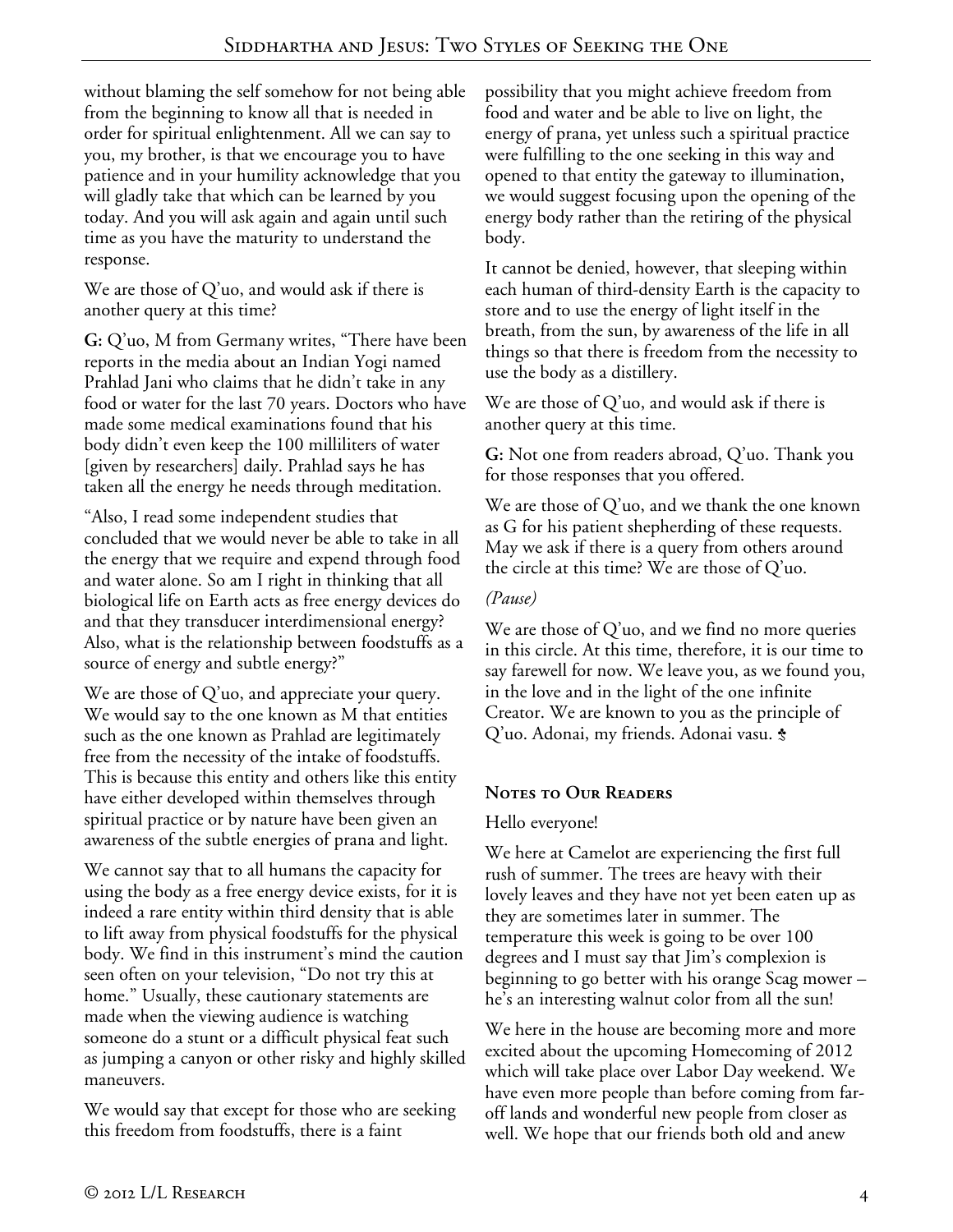without blaming the self somehow for not being able from the beginning to know all that is needed in order for spiritual enlightenment. All we can say to you, my brother, is that we encourage you to have patience and in your humility acknowledge that you will gladly take that which can be learned by you today. And you will ask again and again until such time as you have the maturity to understand the response.

We are those of Q'uo, and would ask if there is another query at this time?

**G:** Q'uo, M from Germany writes, "There have been reports in the media about an Indian Yogi named Prahlad Jani who claims that he didn't take in any food or water for the last 70 years. Doctors who have made some medical examinations found that his body didn't even keep the 100 milliliters of water [given by researchers] daily. Prahlad says he has taken all the energy he needs through meditation.

"Also, I read some independent studies that concluded that we would never be able to take in all the energy that we require and expend through food and water alone. So am I right in thinking that all biological life on Earth acts as free energy devices do and that they transducer interdimensional energy? Also, what is the relationship between foodstuffs as a source of energy and subtle energy?"

We are those of Q'uo, and appreciate your query. We would say to the one known as M that entities such as the one known as Prahlad are legitimately free from the necessity of the intake of foodstuffs. This is because this entity and others like this entity have either developed within themselves through spiritual practice or by nature have been given an awareness of the subtle energies of prana and light.

We cannot say that to all humans the capacity for using the body as a free energy device exists, for it is indeed a rare entity within third density that is able to lift away from physical foodstuffs for the physical body. We find in this instrument's mind the caution seen often on your television, "Do not try this at home." Usually, these cautionary statements are made when the viewing audience is watching someone do a stunt or a difficult physical feat such as jumping a canyon or other risky and highly skilled maneuvers.

We would say that except for those who are seeking this freedom from foodstuffs, there is a faint

possibility that you might achieve freedom from food and water and be able to live on light, the energy of prana, yet unless such a spiritual practice were fulfilling to the one seeking in this way and opened to that entity the gateway to illumination, we would suggest focusing upon the opening of the energy body rather than the retiring of the physical body.

It cannot be denied, however, that sleeping within each human of third-density Earth is the capacity to store and to use the energy of light itself in the breath, from the sun, by awareness of the life in all things so that there is freedom from the necessity to use the body as a distillery.

We are those of Q'uo, and would ask if there is another query at this time.

**G:** Not one from readers abroad, Q'uo. Thank you for those responses that you offered.

We are those of Q'uo, and we thank the one known as G for his patient shepherding of these requests. May we ask if there is a query from others around the circle at this time? We are those of Q'uo.

### *(Pause)*

We are those of Q'uo, and we find no more queries in this circle. At this time, therefore, it is our time to say farewell for now. We leave you, as we found you, in the love and in the light of the one infinite Creator. We are known to you as the principle of Q'uo. Adonai, my friends. Adonai vasu. <del>\$</del>

# **Notes to Our Readers**

## Hello everyone!

We here at Camelot are experiencing the first full rush of summer. The trees are heavy with their lovely leaves and they have not yet been eaten up as they are sometimes later in summer. The temperature this week is going to be over 100 degrees and I must say that Jim's complexion is beginning to go better with his orange Scag mower – he's an interesting walnut color from all the sun!

We here in the house are becoming more and more excited about the upcoming Homecoming of 2012 which will take place over Labor Day weekend. We have even more people than before coming from faroff lands and wonderful new people from closer as well. We hope that our friends both old and anew